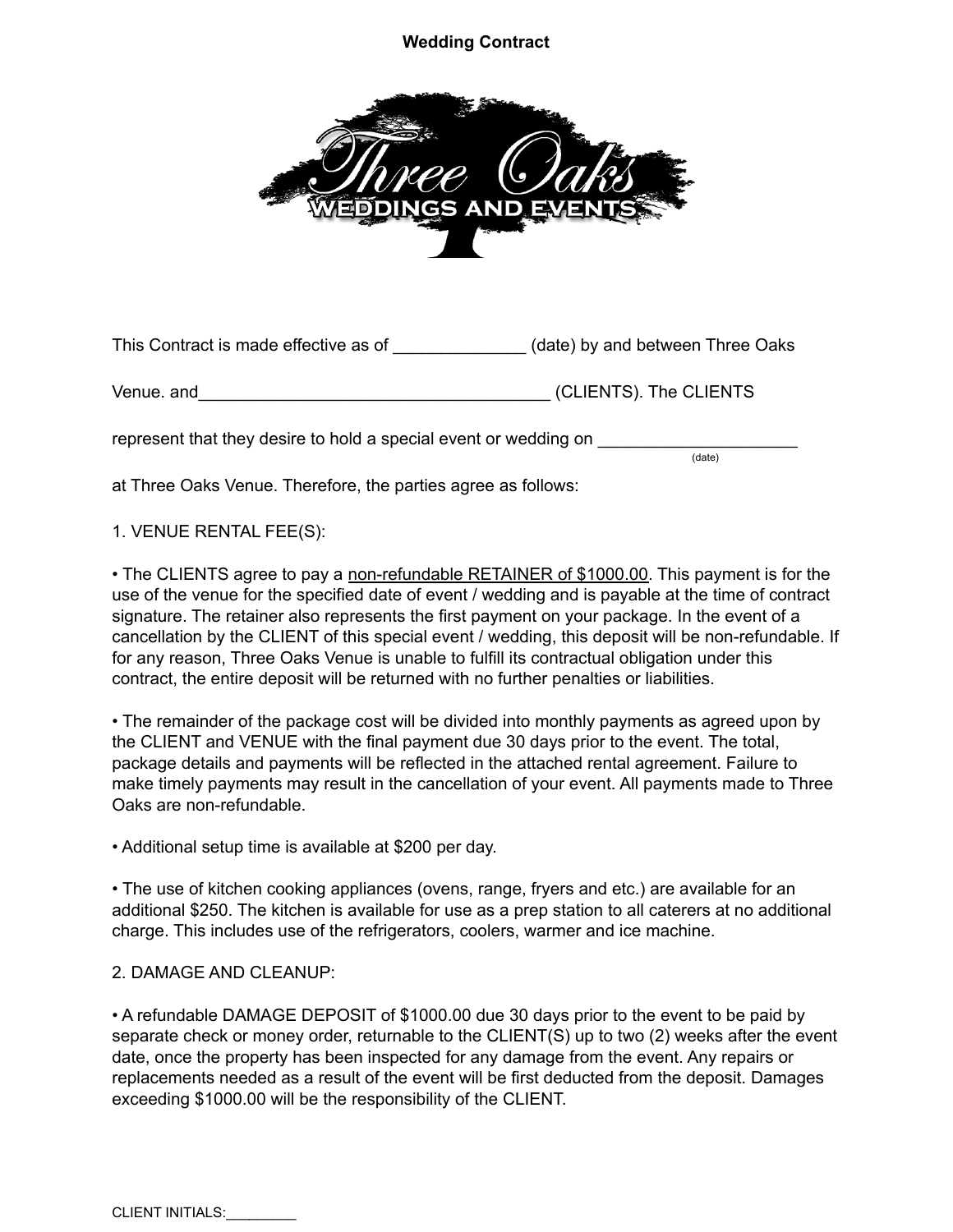## **Wedding Contract**



This Contract is made effective as of \_\_\_\_\_\_\_\_\_\_\_\_\_\_ (date) by and between Three Oaks

Venue. and\_\_\_\_\_\_\_\_\_\_\_\_\_\_\_\_\_\_\_\_\_\_\_\_\_\_\_\_\_\_\_\_\_\_\_\_\_ (CLIENTS). The CLIENTS

represent that they desire to hold a special event or wedding on

at Three Oaks Venue. Therefore, the parties agree as follows:

1. VENUE RENTAL FEE(S):

• The CLIENTS agree to pay a non-refundable RETAINER of \$1000.00. This payment is for the use of the venue for the specified date of event / wedding and is payable at the time of contract signature. The retainer also represents the first payment on your package. In the event of a cancellation by the CLIENT of this special event / wedding, this deposit will be non-refundable. If for any reason, Three Oaks Venue is unable to fulfill its contractual obligation under this contract, the entire deposit will be returned with no further penalties or liabilities.

(date)

• The remainder of the package cost will be divided into monthly payments as agreed upon by the CLIENT and VENUE with the final payment due 30 days prior to the event. The total, package details and payments will be reflected in the attached rental agreement. Failure to make timely payments may result in the cancellation of your event. All payments made to Three Oaks are non-refundable.

• Additional setup time is available at \$200 per day.

• The use of kitchen cooking appliances (ovens, range, fryers and etc.) are available for an additional \$250. The kitchen is available for use as a prep station to all caterers at no additional charge. This includes use of the refrigerators, coolers, warmer and ice machine.

## 2. DAMAGE AND CLEANUP:

• A refundable DAMAGE DEPOSIT of \$1000.00 due 30 days prior to the event to be paid by separate check or money order, returnable to the CLIENT(S) up to two (2) weeks after the event date, once the property has been inspected for any damage from the event. Any repairs or replacements needed as a result of the event will be first deducted from the deposit. Damages exceeding \$1000.00 will be the responsibility of the CLIENT.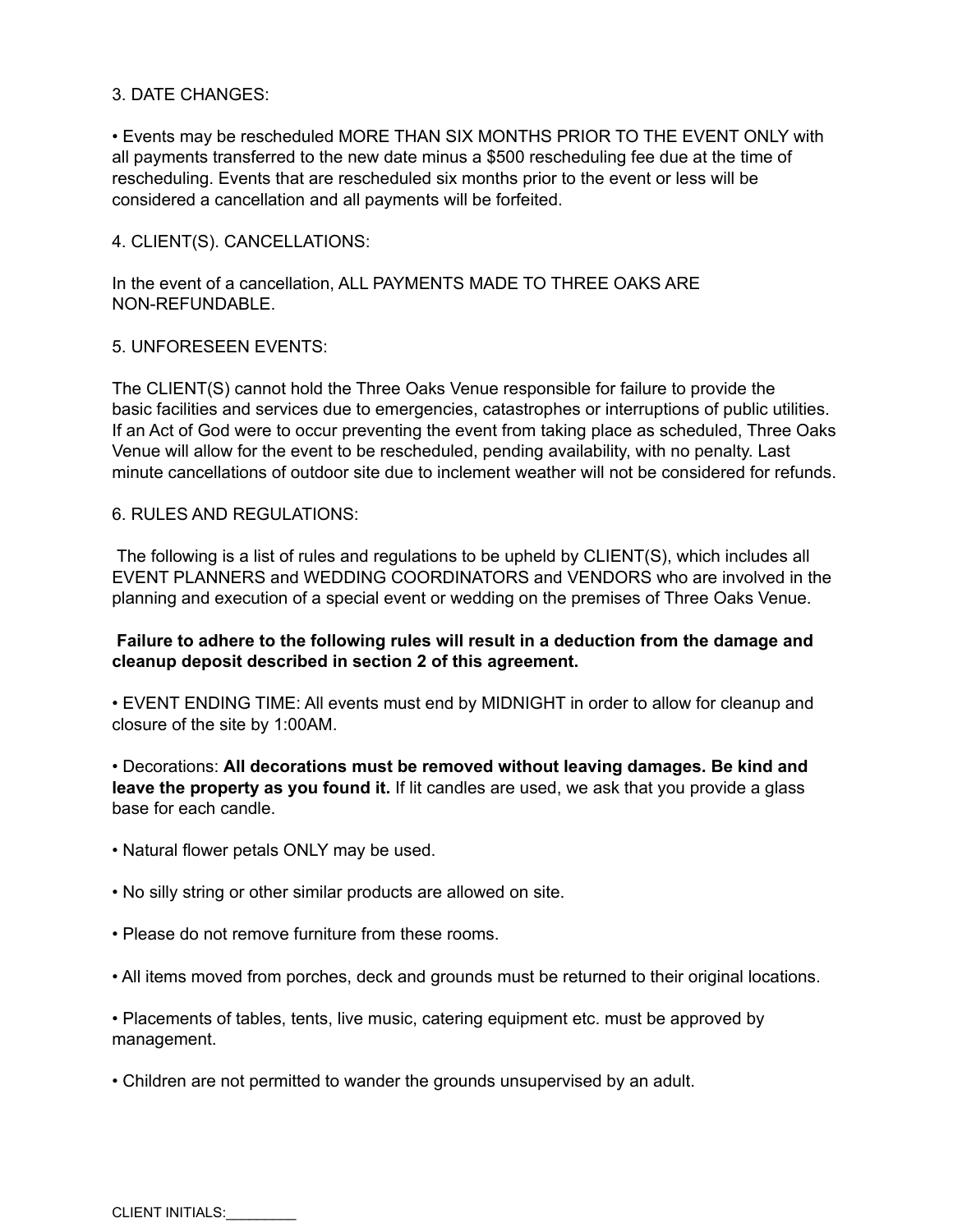#### 3. DATE CHANGES:

• Events may be rescheduled MORE THAN SIX MONTHS PRIOR TO THE EVENT ONLY with all payments transferred to the new date minus a \$500 rescheduling fee due at the time of rescheduling. Events that are rescheduled six months prior to the event or less will be considered a cancellation and all payments will be forfeited.

4. CLIENT(S). CANCELLATIONS:

In the event of a cancellation, ALL PAYMENTS MADE TO THREE OAKS ARE NON-REFUNDABLE.

#### 5. UNFORESEEN EVENTS:

The CLIENT(S) cannot hold the Three Oaks Venue responsible for failure to provide the basic facilities and services due to emergencies, catastrophes or interruptions of public utilities. If an Act of God were to occur preventing the event from taking place as scheduled, Three Oaks Venue will allow for the event to be rescheduled, pending availability, with no penalty. Last minute cancellations of outdoor site due to inclement weather will not be considered for refunds.

## 6. RULES AND REGULATIONS:

The following is a list of rules and regulations to be upheld by CLIENT(S), which includes all EVENT PLANNERS and WEDDING COORDINATORS and VENDORS who are involved in the planning and execution of a special event or wedding on the premises of Three Oaks Venue.

#### **Failure to adhere to the following rules will result in a deduction from the damage and cleanup deposit described in section 2 of this agreement.**

• EVENT ENDING TIME: All events must end by MIDNIGHT in order to allow for cleanup and closure of the site by 1:00AM.

• Decorations: **All decorations must be removed without leaving damages. Be kind and leave the property as you found it.** If lit candles are used, we ask that you provide a glass base for each candle.

- Natural flower petals ONLY may be used.
- No silly string or other similar products are allowed on site.
- Please do not remove furniture from these rooms.
- All items moved from porches, deck and grounds must be returned to their original locations.
- Placements of tables, tents, live music, catering equipment etc. must be approved by management.
- Children are not permitted to wander the grounds unsupervised by an adult.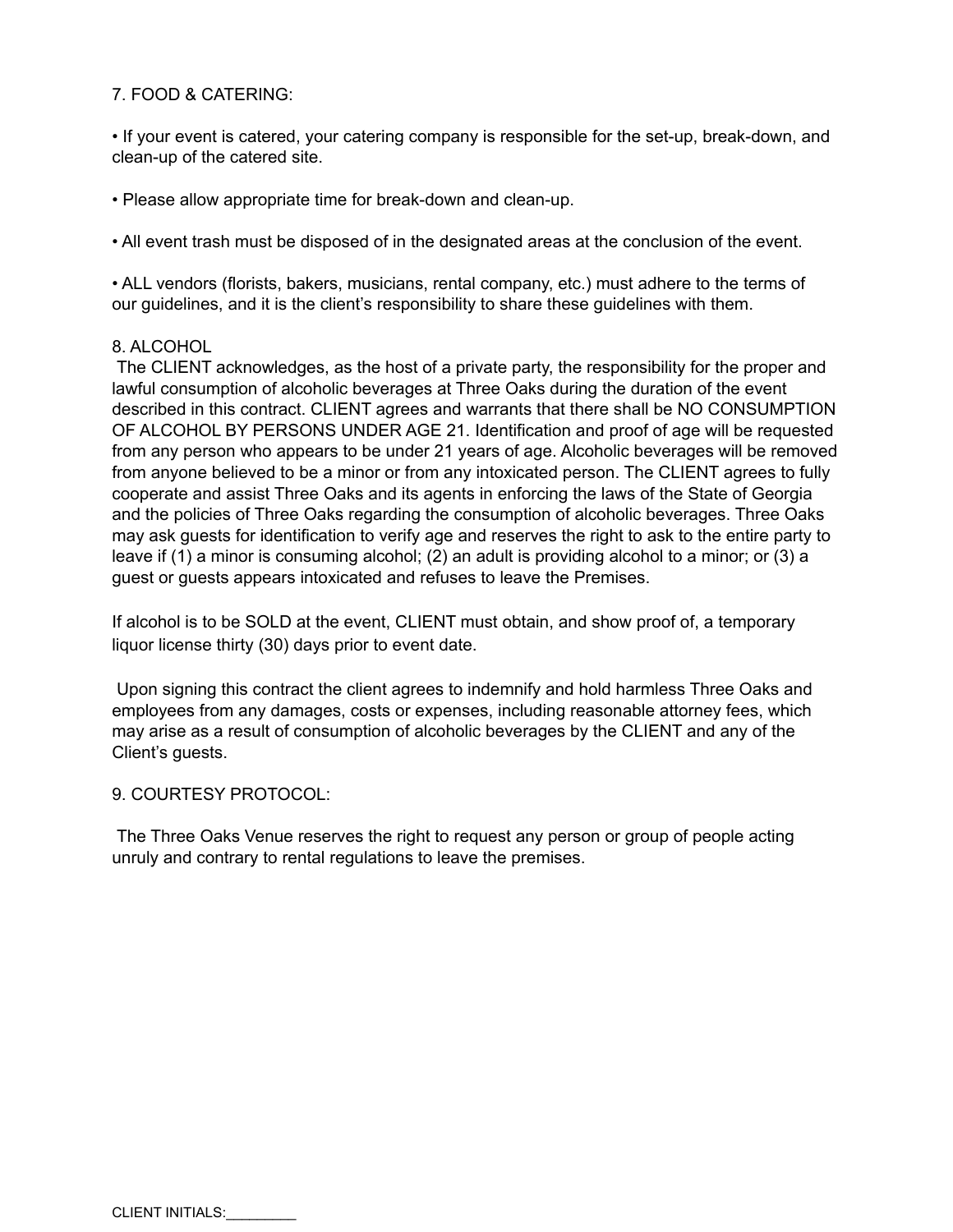# 7. FOOD & CATERING:

• If your event is catered, your catering company is responsible for the set-up, break-down, and clean-up of the catered site.

• Please allow appropriate time for break-down and clean-up.

• All event trash must be disposed of in the designated areas at the conclusion of the event.

• ALL vendors (florists, bakers, musicians, rental company, etc.) must adhere to the terms of our guidelines, and it is the client's responsibility to share these guidelines with them.

#### 8. ALCOHOL

The CLIENT acknowledges, as the host of a private party, the responsibility for the proper and lawful consumption of alcoholic beverages at Three Oaks during the duration of the event described in this contract. CLIENT agrees and warrants that there shall be NO CONSUMPTION OF ALCOHOL BY PERSONS UNDER AGE 21. Identification and proof of age will be requested from any person who appears to be under 21 years of age. Alcoholic beverages will be removed from anyone believed to be a minor or from any intoxicated person. The CLIENT agrees to fully cooperate and assist Three Oaks and its agents in enforcing the laws of the State of Georgia and the policies of Three Oaks regarding the consumption of alcoholic beverages. Three Oaks may ask guests for identification to verify age and reserves the right to ask to the entire party to leave if (1) a minor is consuming alcohol; (2) an adult is providing alcohol to a minor; or (3) a guest or guests appears intoxicated and refuses to leave the Premises.

If alcohol is to be SOLD at the event, CLIENT must obtain, and show proof of, a temporary liquor license thirty (30) days prior to event date.

Upon signing this contract the client agrees to indemnify and hold harmless Three Oaks and employees from any damages, costs or expenses, including reasonable attorney fees, which may arise as a result of consumption of alcoholic beverages by the CLIENT and any of the Client's guests.

#### 9. COURTESY PROTOCOL:

The Three Oaks Venue reserves the right to request any person or group of people acting unruly and contrary to rental regulations to leave the premises.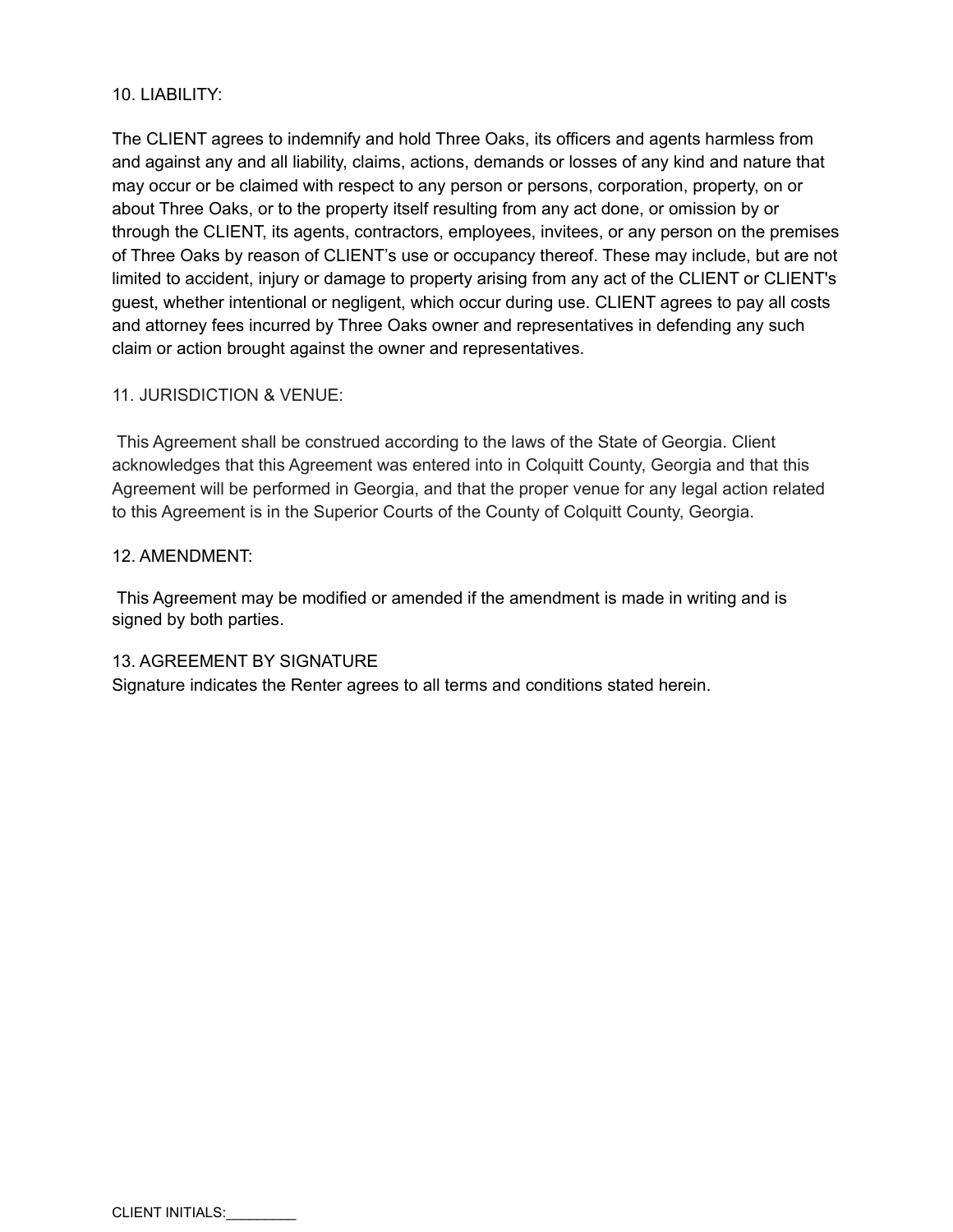## 10. LIABILITY:

The CLIENT agrees to indemnify and hold Three Oaks, its officers and agents harmless from and against any and all liability, claims, actions, demands or losses of any kind and nature that may occur or be claimed with respect to any person or persons, corporation, property, on or about Three Oaks, or to the property itself resulting from any act done, or omission by or through the CLIENT, its agents, contractors, employees, invitees, or any person on the premises of Three Oaks by reason of CLIENT's use or occupancy thereof. These may include, but are not limited to accident, injury or damage to property arising from any act of the CLIENT or CLIENT's guest, whether intentional or negligent, which occur during use. CLIENT agrees to pay all costs and attorney fees incurred by Three Oaks owner and representatives in defending any such claim or action brought against the owner and representatives.

## 11. JURISDICTION & VENUE:

This Agreement shall be construed according to the laws of the State of Georgia. Client acknowledges that this Agreement was entered into in Colquitt County, Georgia and that this Agreement will be performed in Georgia, and that the proper venue for any legal action related to this Agreement is in the Superior Courts of the County of Colquitt County, Georgia.

## 12. AMENDMENT:

This Agreement may be modified or amended if the amendment is made in writing and is signed by both parties.

## 13. AGREEMENT BY SIGNATURE

Signature indicates the Renter agrees to all terms and conditions stated herein.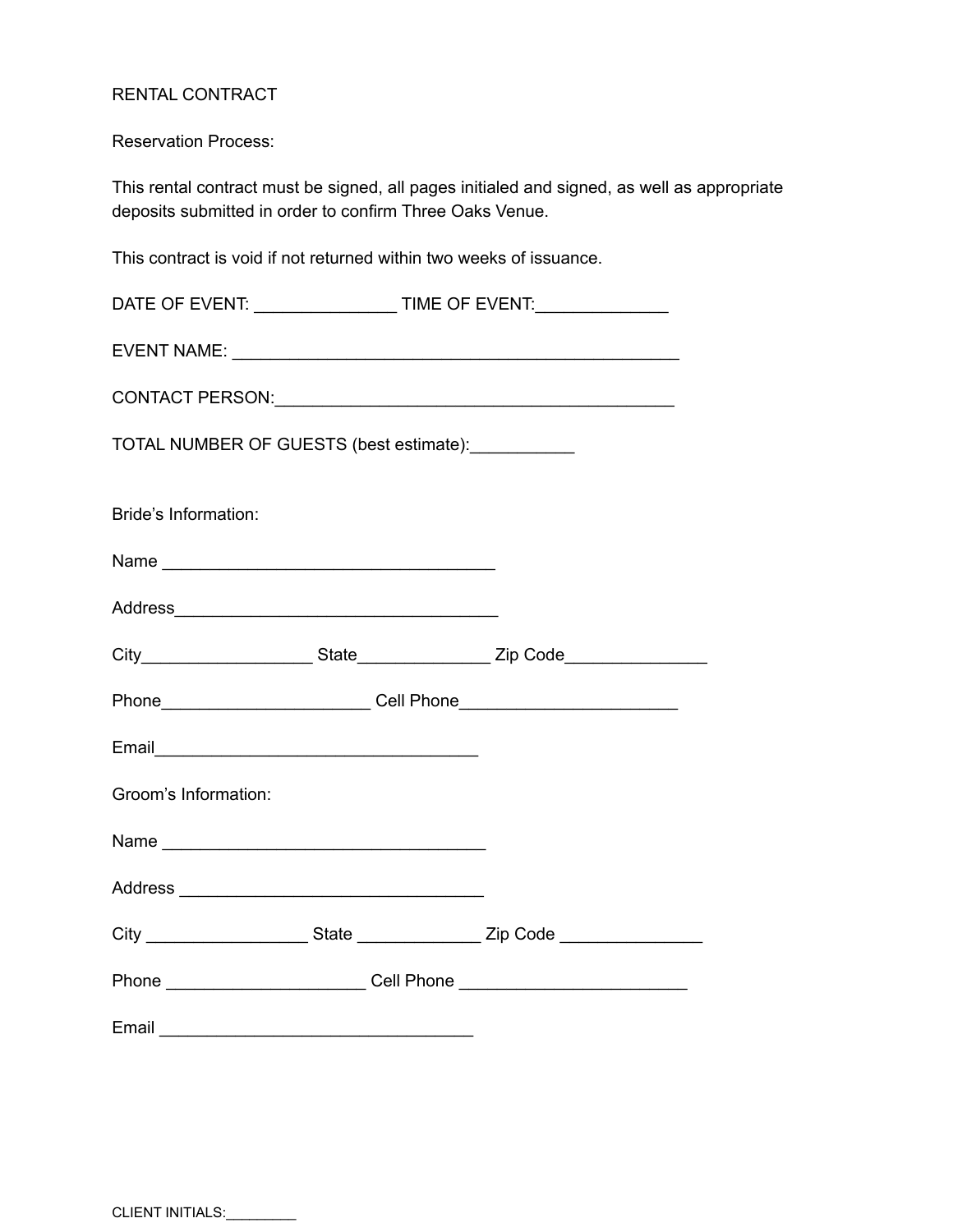# RENTAL CONTRACT

Reservation Process:

This rental contract must be signed, all pages initialed and signed, as well as appropriate deposits submitted in order to confirm Three Oaks Venue.

This contract is void if not returned within two weeks of issuance.

| DATE OF EVENT: _________________________TIME OF EVENT:__________________________                               |  |  |  |  |
|----------------------------------------------------------------------------------------------------------------|--|--|--|--|
|                                                                                                                |  |  |  |  |
|                                                                                                                |  |  |  |  |
| TOTAL NUMBER OF GUESTS (best estimate): ___________                                                            |  |  |  |  |
| Bride's Information:                                                                                           |  |  |  |  |
|                                                                                                                |  |  |  |  |
|                                                                                                                |  |  |  |  |
|                                                                                                                |  |  |  |  |
|                                                                                                                |  |  |  |  |
| Email experience and the service of the service of the service of the service of the service of the service of |  |  |  |  |
| Groom's Information:                                                                                           |  |  |  |  |
|                                                                                                                |  |  |  |  |
|                                                                                                                |  |  |  |  |
|                                                                                                                |  |  |  |  |
|                                                                                                                |  |  |  |  |
|                                                                                                                |  |  |  |  |